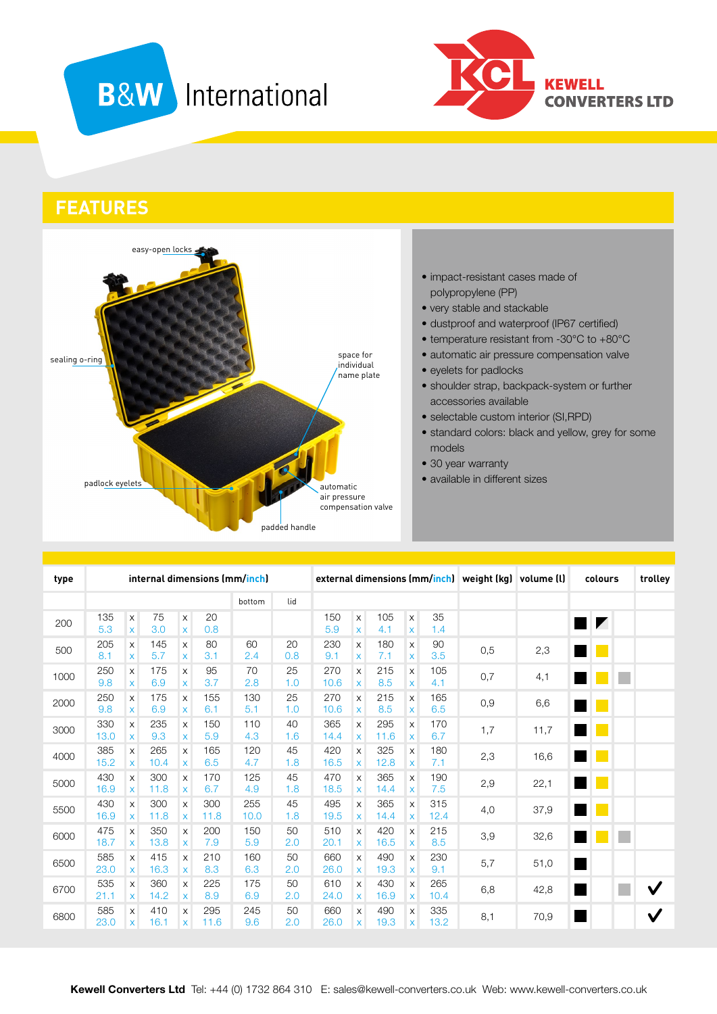# **B&W** International



**FEATURES**



#### • impact-resistant cases made of polypropylene (PP)

- very stable and stackable
- dustproof and waterproof (IP67 certified)
- temperature resistant from -30°C to +80°C
- automatic air pressure compensation valve
- eyelets for padlocks
- shoulder strap, backpack-system or further accessories available
- selectable custom interior (SI, RPD)
- standard colors: black and yellow, grey for some models
- 30 year warranty
- available in different sizes

| type | internal dimensions (mm/inch) |                                                        |             |                             |             |             |           |             | external dimensions (mm/inch) weight (kg) volume (l) |             |                   |             |     |      | colours                  |                          | trolley |  |
|------|-------------------------------|--------------------------------------------------------|-------------|-----------------------------|-------------|-------------|-----------|-------------|------------------------------------------------------|-------------|-------------------|-------------|-----|------|--------------------------|--------------------------|---------|--|
|      |                               |                                                        |             |                             |             | bottom      | lid       |             |                                                      |             |                   |             |     |      |                          |                          |         |  |
| 200  | 135<br>5.3                    | $\boldsymbol{\mathsf{X}}$<br>$\pmb{\times}$            | 75<br>3.0   | $\mathsf X$<br>$\mathsf{x}$ | 20<br>0.8   |             |           | 150<br>5.9  | $\boldsymbol{\mathsf{X}}$<br>$\pmb{\times}$          | 105<br>4.1  | X<br>X            | 35<br>1.4   |     |      |                          | $\blacksquare$           |         |  |
| 500  | 205<br>8.1                    | $\boldsymbol{\mathsf{X}}$<br>$\boldsymbol{\mathsf{X}}$ | 145<br>5.7  | X<br>X                      | 80<br>3.1   | 60<br>2.4   | 20<br>0.8 | 230<br>9.1  | X<br>X                                               | 180<br>7.1  | X<br>X            | 90<br>3.5   | 0,5 | 2,3  |                          |                          |         |  |
| 1000 | 250<br>9.8                    | $\times$<br>X                                          | 175<br>6.9  | X<br>X                      | 95<br>3.7   | 70<br>2.8   | 25<br>1.0 | 270<br>10.6 | X<br>X                                               | 215<br>8.5  | X<br>X            | 105<br>4.1  | 0,7 | 4,1  |                          |                          | ٠       |  |
| 2000 | 250<br>9.8                    | X<br>X                                                 | 175<br>6.9  | X<br>X                      | 155<br>6.1  | 130<br>5.1  | 25<br>1.0 | 270<br>10.6 | X<br>X                                               | 215<br>8.5  | X<br>X            | 165<br>6.5  | 0,9 | 6,6  |                          |                          |         |  |
| 3000 | 330<br>13.0                   | $\pmb{\times}$<br>$\pmb{\times}$                       | 235<br>9.3  | X<br>$\mathsf{X}$           | 150<br>5.9  | 110<br>4.3  | 40<br>1.6 | 365<br>14.4 | X<br>X                                               | 295<br>11.6 | X<br>X            | 170<br>6.7  | 1,7 | 11,7 |                          | <b>Contract Contract</b> |         |  |
| 4000 | 385<br>15.2                   | $\times$<br>$\boldsymbol{\mathsf{x}}$                  | 265<br>10.4 | X<br>X                      | 165<br>6.5  | 120<br>4.7  | 45<br>1.8 | 420<br>16.5 | X<br>X                                               | 325<br>12.8 | X<br>X            | 180<br>7.1  | 2,3 | 16,6 | <b>Contract Contract</b> |                          |         |  |
| 5000 | 430<br>16.9                   | $\times$<br>$\pmb{\times}$                             | 300<br>11.8 | X<br>X                      | 170<br>6.7  | 125<br>4.9  | 45<br>1.8 | 470<br>18.5 | X<br>X                                               | 365<br>14.4 | X<br>X            | 190<br>7.5  | 2,9 | 22,1 |                          | H.                       |         |  |
| 5500 | 430<br>16.9                   | $\boldsymbol{\mathsf{X}}$<br>$\pmb{\times}$            | 300<br>11.8 | X<br>X                      | 300<br>11.8 | 255<br>10.0 | 45<br>1.8 | 495<br>19.5 | X<br>X                                               | 365<br>14.4 | X<br>X            | 315<br>12.4 | 4,0 | 37,9 |                          |                          |         |  |
| 6000 | 475<br>18.7                   | X<br>X                                                 | 350<br>13.8 | X<br>$\mathsf{X}$           | 200<br>7.9  | 150<br>5.9  | 50<br>2.0 | 510<br>20.1 | $\times$<br>X                                        | 420<br>16.5 | X<br>$\mathsf{x}$ | 215<br>8.5  | 3,9 | 32,6 |                          |                          | p.      |  |
| 6500 | 585<br>23.0                   | $\times$<br>$\boldsymbol{\mathsf{x}}$                  | 415<br>16.3 | X<br>X                      | 210<br>8.3  | 160<br>6.3  | 50<br>2.0 | 660<br>26.0 | X<br>X                                               | 490<br>19.3 | $\times$<br>X     | 230<br>9.1  | 5,7 | 51,0 |                          |                          |         |  |
| 6700 | 535<br>21.1                   | X<br>X                                                 | 360<br>14.2 | X<br>X                      | 225<br>8.9  | 175<br>6.9  | 50<br>2.0 | 610<br>24.0 | X<br>X                                               | 430<br>16.9 | X<br>X            | 265<br>10.4 | 6,8 | 42,8 | H.                       |                          | Г       |  |
| 6800 | 585<br>23.0                   | X<br>X                                                 | 410<br>16.1 | X<br>X                      | 295<br>11.6 | 245<br>9.6  | 50<br>2.0 | 660<br>26.0 | X<br>X                                               | 490<br>19.3 | X<br>X            | 335<br>13.2 | 8,1 | 70,9 |                          |                          |         |  |